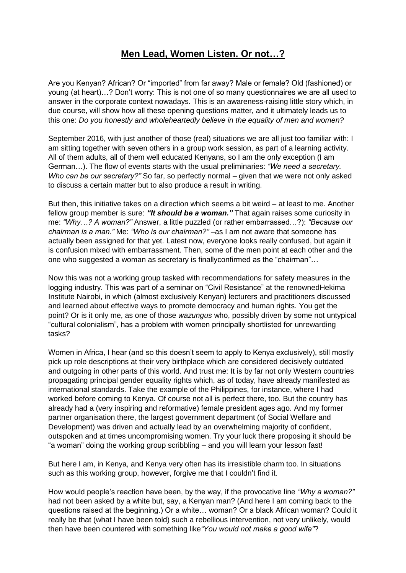## **Men Lead, Women Listen. Or not…?**

Are you Kenyan? African? Or "imported" from far away? Male or female? Old (fashioned) or young (at heart)…? Don"t worry: This is not one of so many questionnaires we are all used to answer in the corporate context nowadays. This is an awareness-raising little story which, in due course, will show how all these opening questions matter, and it ultimately leads us to this one: *Do you honestly and wholeheartedly believe in the equality of men and women?*

September 2016, with just another of those (real) situations we are all just too familiar with: I am sitting together with seven others in a group work session, as part of a learning activity. All of them adults, all of them well educated Kenyans, so I am the only exception (I am German…). The flow of events starts with the usual preliminaries: *"We need a secretary. Who can be our secretary?"* So far, so perfectly normal – given that we were not only asked to discuss a certain matter but to also produce a result in writing.

But then, this initiative takes on a direction which seems a bit weird – at least to me. Another fellow group member is sure: *"It should be a woman."* That again raises some curiosity in me: *"Why…? A woman?"* Answer, a little puzzled (or rather embarrassed…?): *"Because our chairman is a man."* Me: *"Who is our chairman?"* –as I am not aware that someone has actually been assigned for that yet. Latest now, everyone looks really confused, but again it is confusion mixed with embarrassment. Then, some of the men point at each other and the one who suggested a woman as secretary is finallyconfirmed as the "chairman"…

Now this was not a working group tasked with recommendations for safety measures in the logging industry. This was part of a seminar on "Civil Resistance" at the renownedHekima Institute Nairobi, in which (almost exclusively Kenyan) lecturers and practitioners discussed and learned about effective ways to promote democracy and human rights. You get the point? Or is it only me, as one of those *wazungus* who, possibly driven by some not untypical "cultural colonialism", has a problem with women principally shortlisted for unrewarding tasks?

Women in Africa, I hear (and so this doesn't seem to apply to Kenya exclusively), still mostly pick up role descriptions at their very birthplace which are considered decisively outdated and outgoing in other parts of this world. And trust me: It is by far not only Western countries propagating principal gender equality rights which, as of today, have already manifested as international standards. Take the example of the Philippines, for instance, where I had worked before coming to Kenya. Of course not all is perfect there, too. But the country has already had a (very inspiring and reformative) female president ages ago. And my former partner organisation there, the largest government department (of Social Welfare and Development) was driven and actually lead by an overwhelming majority of confident, outspoken and at times uncompromising women. Try your luck there proposing it should be "a woman" doing the working group scribbling – and you will learn your lesson fast!

But here I am, in Kenya, and Kenya very often has its irresistible charm too. In situations such as this working group, however, forgive me that I couldn't find it.

How would people"s reaction have been, by the way, if the provocative line *"Why a woman?"* had not been asked by a white but, say, a Kenyan man? (And here I am coming back to the questions raised at the beginning.) Or a white… woman? Or a black African woman? Could it really be that (what I have been told) such a rebellious intervention, not very unlikely, would then have been countered with something like*"You would not make a good wife"*?